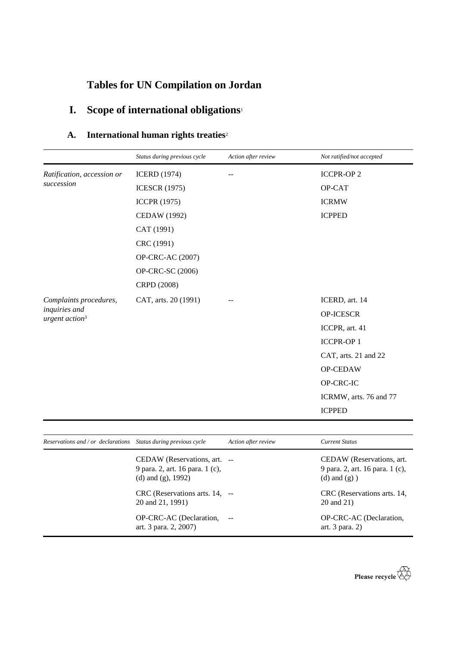# **Tables for UN Compilation on Jordan**

# **I. Scope of international obligations**<sup>1</sup>

## **A. International human rights treaties**<sup>2</sup>

|                                             | Status during previous cycle | Action after review | Not ratified/not accepted |
|---------------------------------------------|------------------------------|---------------------|---------------------------|
| Ratification, accession or<br>succession    | <b>ICERD</b> (1974)          |                     | <b>ICCPR-OP 2</b>         |
|                                             | <b>ICESCR (1975)</b>         |                     | OP-CAT                    |
|                                             | <b>ICCPR (1975)</b>          |                     | <b>ICRMW</b>              |
|                                             | <b>CEDAW</b> (1992)          |                     | <b>ICPPED</b>             |
|                                             | CAT (1991)                   |                     |                           |
|                                             | CRC (1991)                   |                     |                           |
|                                             | OP-CRC-AC (2007)             |                     |                           |
|                                             | OP-CRC-SC (2006)             |                     |                           |
|                                             | CRPD (2008)                  |                     |                           |
| Complaints procedures,                      | CAT, arts. 20 (1991)         |                     | ICERD, art. 14            |
| inquiries and<br>urgent action <sup>3</sup> |                              |                     | OP-ICESCR                 |
|                                             |                              |                     | ICCPR, art. 41            |
|                                             |                              |                     | <b>ICCPR-OP1</b>          |
|                                             |                              |                     | CAT, arts. 21 and 22      |
|                                             |                              |                     | OP-CEDAW                  |
|                                             |                              |                     | OP-CRC-IC                 |
|                                             |                              |                     | ICRMW, arts. 76 and 77    |
|                                             |                              |                     | <b>ICPPED</b>             |
|                                             |                              |                     |                           |
| Reservations and / or declarations          | Status during previous cycle | Action after review | <b>Current Status</b>     |

| CEDAW (Reservations, art.<br>CEDAW (Reservations, art. --<br>9 para. 2, art. 16 para. 1 (c),<br>(d) and $(g)$ ) |
|-----------------------------------------------------------------------------------------------------------------|
| $CRC$ (Reservations arts. 14, $-$<br>CRC (Reservations arts. 14,<br>20 and 21)                                  |
| OP-CRC-AC (Declaration,<br>art. $3$ para. $2)$                                                                  |
|                                                                                                                 |

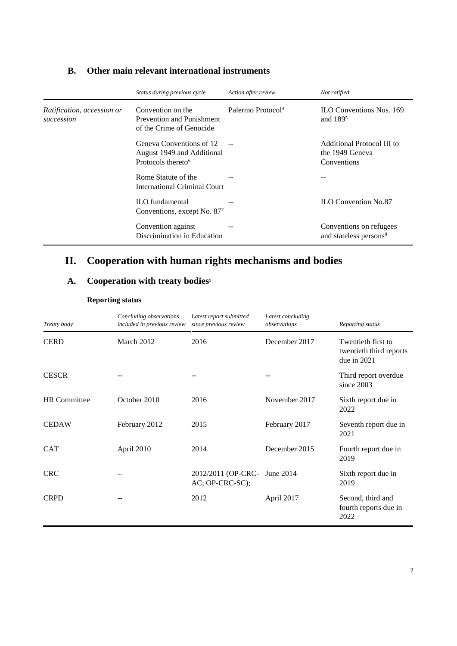|                                          | Status during previous cycle                                                             | Action after review           | Not ratified                                                  |
|------------------------------------------|------------------------------------------------------------------------------------------|-------------------------------|---------------------------------------------------------------|
| Ratification, accession or<br>succession | Convention on the<br>Prevention and Punishment<br>of the Crime of Genocide               | Palermo Protocol <sup>4</sup> | <b>ILO Conventions Nos. 169</b><br>and 189 <sup>5</sup>       |
|                                          | Geneva Conventions of 12<br>August 1949 and Additional<br>Protocols thereto <sup>6</sup> |                               | Additional Protocol III to<br>the 1949 Geneva<br>Conventions  |
|                                          | Rome Statute of the<br>International Criminal Court                                      |                               |                                                               |
|                                          | <b>ILO</b> fundamental<br>Conventions, except No. 87 <sup>7</sup>                        |                               | <b>ILO Convention No.87</b>                                   |
|                                          | Convention against<br>Discrimination in Education                                        |                               | Conventions on refugees<br>and stateless persons <sup>8</sup> |

### **B. Other main relevant international instruments**

## **II. Cooperation with human rights mechanisms and bodies**

## A. Cooperation with treaty bodies<sup>9</sup>

| Treaty body         | Concluding observations<br>included in previous review | Latest report submitted<br>since previous review | Latest concluding<br>observations | Reporting status                                               |
|---------------------|--------------------------------------------------------|--------------------------------------------------|-----------------------------------|----------------------------------------------------------------|
| <b>CERD</b>         | March 2012                                             | 2016                                             | December 2017                     | Twentieth first to<br>twentieth third reports<br>due in $2021$ |
| <b>CESCR</b>        |                                                        |                                                  |                                   | Third report overdue<br>since 2003                             |
| <b>HR</b> Committee | October 2010                                           | 2016                                             | November 2017                     | Sixth report due in<br>2022                                    |
| <b>CEDAW</b>        | February 2012                                          | 2015                                             | February 2017                     | Seventh report due in<br>2021                                  |
| <b>CAT</b>          | April 2010                                             | 2014                                             | December 2015                     | Fourth report due in<br>2019                                   |
| <b>CRC</b>          |                                                        | 2012/2011 (OP-CRC-<br>AC; OP-CRC-SC);            | June 2014                         | Sixth report due in<br>2019                                    |
| <b>CRPD</b>         | --                                                     | 2012                                             | April 2017                        | Second, third and<br>fourth reports due in<br>2022             |

### **Reporting status**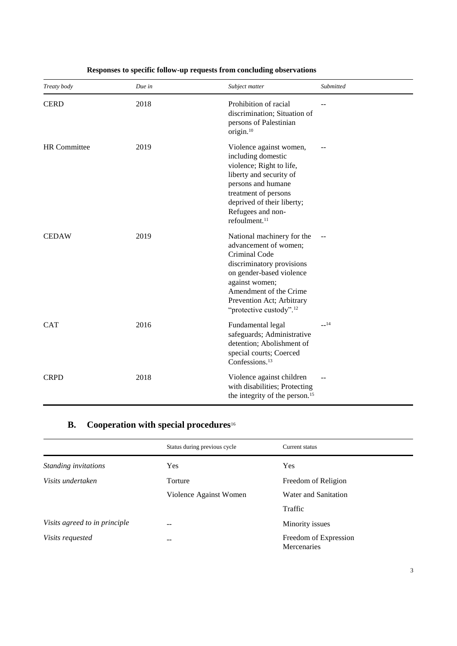| Treaty body         | Due in | Subject matter                                                                                                                                                                                                                                | Submitted |
|---------------------|--------|-----------------------------------------------------------------------------------------------------------------------------------------------------------------------------------------------------------------------------------------------|-----------|
| <b>CERD</b>         | 2018   | Prohibition of racial<br>discrimination; Situation of<br>persons of Palestinian<br>origin. <sup>10</sup>                                                                                                                                      |           |
| <b>HR</b> Committee | 2019   | Violence against women,<br>including domestic<br>violence; Right to life,<br>liberty and security of<br>persons and humane<br>treatment of persons<br>deprived of their liberty;<br>Refugees and non-<br>refoulment. <sup>11</sup>            |           |
| <b>CEDAW</b>        | 2019   | National machinery for the<br>advancement of women;<br>Criminal Code<br>discriminatory provisions<br>on gender-based violence<br>against women;<br>Amendment of the Crime<br>Prevention Act; Arbitrary<br>"protective custody". <sup>12</sup> |           |
| <b>CAT</b>          | 2016   | Fundamental legal<br>safeguards; Administrative<br>detention; Abolishment of<br>special courts; Coerced<br>Confessions. <sup>13</sup>                                                                                                         | $-14$     |
| <b>CRPD</b>         | 2018   | Violence against children<br>with disabilities; Protecting<br>the integrity of the person. <sup>15</sup>                                                                                                                                      |           |

### **Responses to specific follow-up requests from concluding observations**

## **B. Cooperation with special procedures**<sup>16</sup>

|                               | Status during previous cycle | Current status                       |
|-------------------------------|------------------------------|--------------------------------------|
| Standing invitations          | Yes                          | Yes                                  |
| Visits undertaken             | Torture                      | Freedom of Religion                  |
|                               | Violence Against Women       | Water and Sanitation                 |
|                               |                              | Traffic                              |
| Visits agreed to in principle | --                           | Minority issues                      |
| <i>Visits requested</i>       | --                           | Freedom of Expression<br>Mercenaries |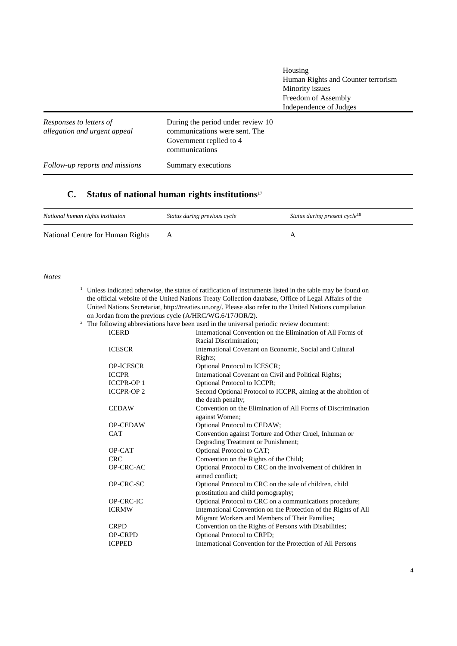|                                                         |                                                                                                                 | Housing<br>Human Rights and Counter terrorism<br>Minority issues<br>Freedom of Assembly<br>Independence of Judges |
|---------------------------------------------------------|-----------------------------------------------------------------------------------------------------------------|-------------------------------------------------------------------------------------------------------------------|
| Responses to letters of<br>allegation and urgent appeal | During the period under review 10<br>communications were sent. The<br>Government replied to 4<br>communications |                                                                                                                   |
| Follow-up reports and missions                          | Summary executions                                                                                              |                                                                                                                   |

## **C. Status of national human rights institutions**<sup>17</sup>

| National human rights institution | Status during previous cycle | Status during present cycle <sup>18</sup> |
|-----------------------------------|------------------------------|-------------------------------------------|
| National Centre for Human Rights  |                              |                                           |

### *Notes*

- <sup>1</sup> Unless indicated otherwise, the status of ratification of instruments listed in the table may be found on the official website of the United Nations Treaty Collection database, Office of Legal Affairs of the United Nations Secretariat, http://treaties.un.org/. Please also refer to the United Nations compilation on Jordan from the previous cycle (A/HRC/WG.6/17/JOR/2).
- <sup>2</sup> The following abbreviations have been used in the universal periodic review document:

| <b>ICERD</b>     | International Convention on the Elimination of All Forms of     |
|------------------|-----------------------------------------------------------------|
|                  | Racial Discrimination;                                          |
| <b>ICESCR</b>    | International Covenant on Economic, Social and Cultural         |
|                  | Rights;                                                         |
| <b>OP-ICESCR</b> | Optional Protocol to ICESCR;                                    |
| <b>ICCPR</b>     | International Covenant on Civil and Political Rights;           |
| <b>ICCPR-OP1</b> | <b>Optional Protocol to ICCPR;</b>                              |
| <b>ICCPR-OP2</b> | Second Optional Protocol to ICCPR, aiming at the abolition of   |
|                  | the death penalty;                                              |
| <b>CEDAW</b>     | Convention on the Elimination of All Forms of Discrimination    |
|                  | against Women;                                                  |
| <b>OP-CEDAW</b>  | Optional Protocol to CEDAW;                                     |
| <b>CAT</b>       | Convention against Torture and Other Cruel, Inhuman or          |
|                  | Degrading Treatment or Punishment;                              |
| OP-CAT           | Optional Protocol to CAT;                                       |
| <b>CRC</b>       | Convention on the Rights of the Child;                          |
| OP-CRC-AC        | Optional Protocol to CRC on the involvement of children in      |
|                  | armed conflict:                                                 |
| OP-CRC-SC        | Optional Protocol to CRC on the sale of children, child         |
|                  | prostitution and child pornography;                             |
| OP-CRC-IC        | Optional Protocol to CRC on a communications procedure;         |
| <b>ICRMW</b>     | International Convention on the Protection of the Rights of All |
|                  | Migrant Workers and Members of Their Families;                  |
| <b>CRPD</b>      | Convention on the Rights of Persons with Disabilities;          |
| <b>OP-CRPD</b>   | Optional Protocol to CRPD;                                      |
| <b>ICPPED</b>    | International Convention for the Protection of All Persons      |
|                  |                                                                 |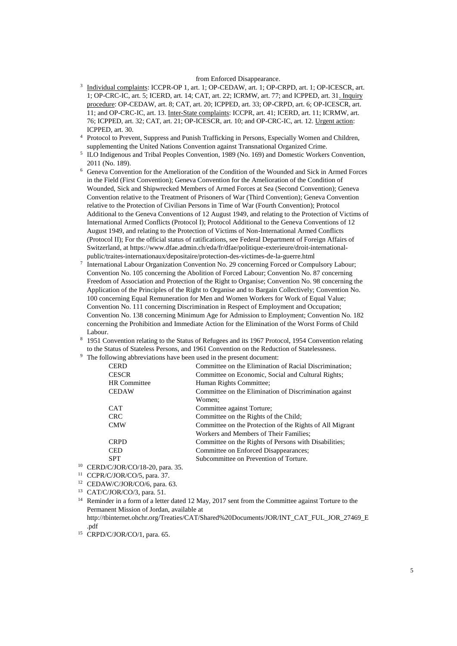#### from Enforced Disappearance.

- <sup>3</sup> Individual complaints: ICCPR-OP 1, art. 1; OP-CEDAW, art. 1; OP-CRPD, art. 1; OP-ICESCR, art. 1; OP-CRC-IC, art. 5; ICERD, art. 14; CAT, art. 22; ICRMW, art. 77; and ICPPED, art. 31. Inquiry procedure: OP-CEDAW, art. 8; CAT, art. 20; ICPPED, art. 33; OP-CRPD, art. 6; OP-ICESCR, art. 11; and OP-CRC-IC, art. 13. Inter-State complaints: ICCPR, art. 41; ICERD, art. 11; ICRMW, art. 76; ICPPED, art. 32; CAT, art. 21; OP-ICESCR, art. 10; and OP-CRC-IC, art. 12. Urgent action: ICPPED, art. 30.
- <sup>4</sup> Protocol to Prevent, Suppress and Punish Trafficking in Persons, Especially Women and Children, supplementing the United Nations Convention against Transnational Organized Crime.
- <sup>5</sup> ILO Indigenous and Tribal Peoples Convention, 1989 (No. 169) and Domestic Workers Convention, 2011 (No. 189).
- <sup>6</sup> Geneva Convention for the Amelioration of the Condition of the Wounded and Sick in Armed Forces in the Field (First Convention); Geneva Convention for the Amelioration of the Condition of Wounded, Sick and Shipwrecked Members of Armed Forces at Sea (Second Convention); Geneva Convention relative to the Treatment of Prisoners of War (Third Convention); Geneva Convention relative to the Protection of Civilian Persons in Time of War (Fourth Convention); Protocol Additional to the Geneva Conventions of 12 August 1949, and relating to the Protection of Victims of International Armed Conflicts (Protocol I); Protocol Additional to the Geneva Conventions of 12 August 1949, and relating to the Protection of Victims of Non-International Armed Conflicts (Protocol II); For the official status of ratifications, see Federal Department of Foreign Affairs of Switzerland, at https://www.dfae.admin.ch/eda/fr/dfae/politique-exterieure/droit-internationalpublic/traites-internationaux/depositaire/protection-des-victimes-de-la-guerre.html
- 7 International Labour Organization Convention No. 29 concerning Forced or Compulsory Labour; Convention No. 105 concerning the Abolition of Forced Labour; Convention No. 87 concerning Freedom of Association and Protection of the Right to Organise; Convention No. 98 concerning the Application of the Principles of the Right to Organise and to Bargain Collectively; Convention No. 100 concerning Equal Remuneration for Men and Women Workers for Work of Equal Value; Convention No. 111 concerning Discrimination in Respect of Employment and Occupation; Convention No. 138 concerning Minimum Age for Admission to Employment; Convention No. 182 concerning the Prohibition and Immediate Action for the Elimination of the Worst Forms of Child Labour.
- 8 1951 Convention relating to the Status of Refugees and its 1967 Protocol, 1954 Convention relating to the Status of Stateless Persons, and 1961 Convention on the Reduction of Statelessness.
- <sup>9</sup> The following abbreviations have been used in the present document:

| <b>CERD</b>                     | Committee on the Elimination of Racial Discrimination;   |
|---------------------------------|----------------------------------------------------------|
| <b>CESCR</b>                    | Committee on Economic, Social and Cultural Rights;       |
| <b>HR</b> Committee             | Human Rights Committee;                                  |
| <b>CEDAW</b>                    | Committee on the Elimination of Discrimination against   |
|                                 | Women:                                                   |
| <b>CAT</b>                      | Committee against Torture;                               |
| <b>CRC</b>                      | Committee on the Rights of the Child;                    |
| <b>CMW</b>                      | Committee on the Protection of the Rights of All Migrant |
|                                 | Workers and Members of Their Families:                   |
| <b>CRPD</b>                     | Committee on the Rights of Persons with Disabilities;    |
| <b>CED</b>                      | Committee on Enforced Disappearances;                    |
| <b>SPT</b>                      | Subcommittee on Prevention of Torture.                   |
| $\Omega/C/LOD/CO/19.20$ nore 25 |                                                          |

- <sup>10</sup> CERD/C/JOR/CO/18-20, para. 35.
- <sup>11</sup> CCPR/C/JOR/CO/5, para. 37.
- <sup>12</sup> CEDAW/C/JOR/CO/6, para. 63.
- <sup>13</sup> CAT/C/JOR/CO/3, para. 51.
- <sup>14</sup> Reminder in a form of a letter dated 12 May, 2017 sent from the Committee against Torture to the Permanent Mission of Jordan, available at http://tbinternet.ohchr.org/Treaties/CAT/Shared%20Documents/JOR/INT\_CAT\_FUL\_JOR\_27469\_E .pdf
- <sup>15</sup> CRPD/C/JOR/CO/1, para. 65.